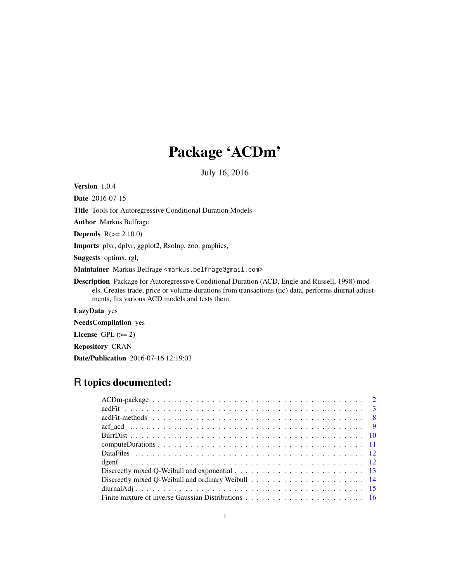# Package 'ACDm'

July 16, 2016

<span id="page-0-0"></span>Version 1.0.4

Date 2016-07-15

Title Tools for Autoregressive Conditional Duration Models

Author Markus Belfrage

**Depends**  $R(>= 2.10.0)$ 

Imports plyr, dplyr, ggplot2, Rsolnp, zoo, graphics,

Suggests optimx, rgl,

Maintainer Markus Belfrage <markus.belfrage@gmail.com>

Description Package for Autoregressive Conditional Duration (ACD, Engle and Russell, 1998) models. Creates trade, price or volume durations from transactions (tic) data, performs diurnal adjustments, fits various ACD models and tests them.

LazyData yes

NeedsCompilation yes

License GPL  $(>= 2)$ 

Repository CRAN

Date/Publication 2016-07-16 12:19:03

# R topics documented: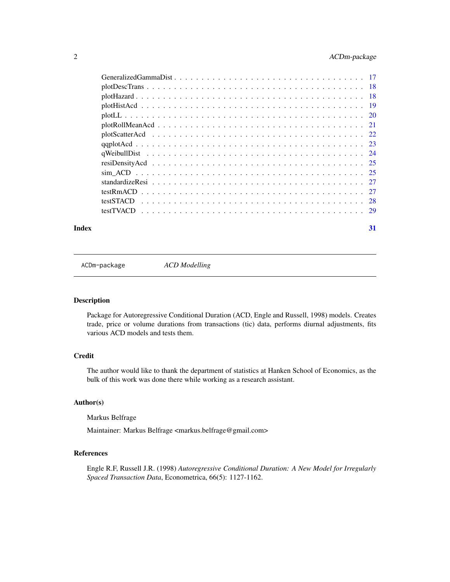<span id="page-1-0"></span>

| Index | 31 |
|-------|----|

ACDm-package *ACD Modelling*

# Description

Package for Autoregressive Conditional Duration (ACD, Engle and Russell, 1998) models. Creates trade, price or volume durations from transactions (tic) data, performs diurnal adjustments, fits various ACD models and tests them.

# Credit

The author would like to thank the department of statistics at Hanken School of Economics, as the bulk of this work was done there while working as a research assistant.

# Author(s)

Markus Belfrage

Maintainer: Markus Belfrage <markus.belfrage@gmail.com>

# References

Engle R.F, Russell J.R. (1998) *Autoregressive Conditional Duration: A New Model for Irregularly Spaced Transaction Data*, Econometrica, 66(5): 1127-1162.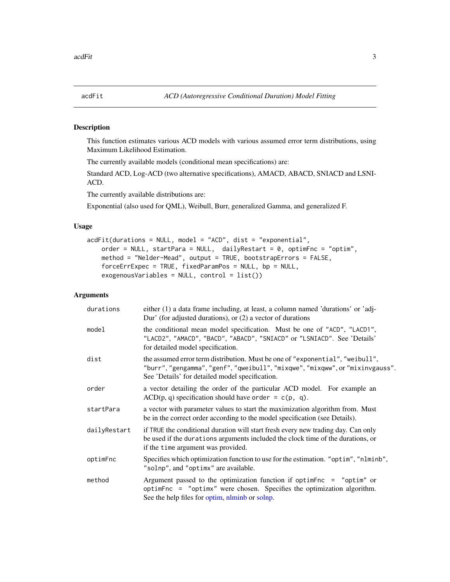<span id="page-2-0"></span>

# Description

This function estimates various ACD models with various assumed error term distributions, using Maximum Likelihood Estimation.

The currently available models (conditional mean specifications) are:

Standard ACD, Log-ACD (two alternative specifications), AMACD, ABACD, SNIACD and LSNI-ACD.

The currently available distributions are:

Exponential (also used for QML), Weibull, Burr, generalized Gamma, and generalized F.

# Usage

```
acdFit(durations = NULL, model = "ACD", dist = "exponential",
   order = NULL, startPara = NULL, dailyRestart = 0, optimFnc = "optim",
   method = "Nelder-Mead", output = TRUE, bootstrapErrors = FALSE,
   forceErrExpec = TRUE, fixedParamPos = NULL, bp = NULL,
   exogenousVariables = NULL, control = list())
```
# Arguments

| durations    | either (1) a data frame including, at least, a column named 'durations' or 'adj-<br>Dur' (for adjusted durations), or $(2)$ a vector of durations                                                                 |  |  |
|--------------|-------------------------------------------------------------------------------------------------------------------------------------------------------------------------------------------------------------------|--|--|
| model        | the conditional mean model specification. Must be one of "ACD", "LACD1",<br>"LACD2", "AMACD", "BACD", "ABACD", "SNIACD" or "LSNIACD". See 'Details'<br>for detailed model specification.                          |  |  |
| dist         | the assumed error term distribution. Must be one of "exponential", "weibull",<br>"burr", "gengamma", "genf", "qweibull", "mixqwe", "mixqww", or "mixinvgauss".<br>See 'Details' for detailed model specification. |  |  |
| order        | a vector detailing the order of the particular ACD model. For example an<br>$ACD(p, q)$ specification should have order = c(p, q).                                                                                |  |  |
| startPara    | a vector with parameter values to start the maximization algorithm from. Must<br>be in the correct order according to the model specification (see Details).                                                      |  |  |
| dailyRestart | if TRUE the conditional duration will start fresh every new trading day. Can only<br>be used if the durations arguments included the clock time of the durations, or<br>if the time argument was provided.        |  |  |
| optimFnc     | Specifies which optimization function to use for the estimation. "optim", "nlminb",<br>"solnp", and "optimx" are available.                                                                                       |  |  |
| method       | Argument passed to the optimization function if optimend $=$ "optim" or<br>optimFnc = "optimx" were chosen. Specifies the optimization algorithm.<br>See the help files for optim, nlminb or solnp.               |  |  |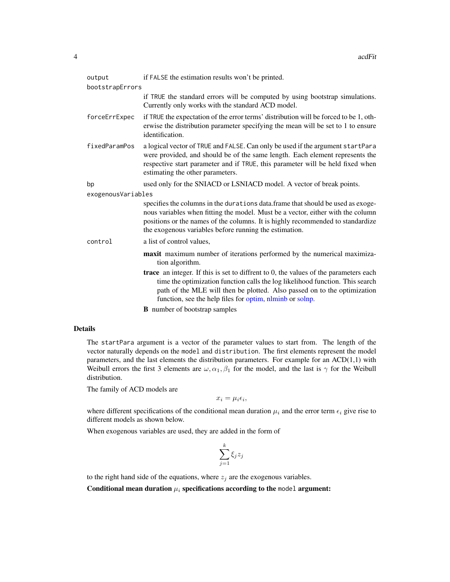<span id="page-3-0"></span>

| output             | if FALSE the estimation results won't be printed.                                                                                                                                                                                                                                                                       |  |  |
|--------------------|-------------------------------------------------------------------------------------------------------------------------------------------------------------------------------------------------------------------------------------------------------------------------------------------------------------------------|--|--|
| bootstrapErrors    |                                                                                                                                                                                                                                                                                                                         |  |  |
|                    | if TRUE the standard errors will be computed by using bootstrap simulations.<br>Currently only works with the standard ACD model.                                                                                                                                                                                       |  |  |
| forceErrExpec      | if TRUE the expectation of the error terms' distribution will be forced to be 1, oth-<br>erwise the distribution parameter specifying the mean will be set to 1 to ensure<br>identification.                                                                                                                            |  |  |
| fixedParamPos      | a logical vector of TRUE and FALSE. Can only be used if the argument startPara<br>were provided, and should be of the same length. Each element represents the<br>respective start parameter and if TRUE, this parameter will be held fixed when<br>estimating the other parameters.                                    |  |  |
| bp                 | used only for the SNIACD or LSNIACD model. A vector of break points.                                                                                                                                                                                                                                                    |  |  |
| exogenousVariables |                                                                                                                                                                                                                                                                                                                         |  |  |
|                    | specifies the columns in the durations data.frame that should be used as exoge-<br>nous variables when fitting the model. Must be a vector, either with the column<br>positions or the names of the columns. It is highly recommended to standardize<br>the exogenous variables before running the estimation.          |  |  |
| control            | a list of control values,                                                                                                                                                                                                                                                                                               |  |  |
|                    | maxit maximum number of iterations performed by the numerical maximiza-<br>tion algorithm.                                                                                                                                                                                                                              |  |  |
|                    | <b>trace</b> an integer. If this is set to diffrent to $0$ , the values of the parameters each<br>time the optimization function calls the log likelihood function. This search<br>path of the MLE will then be plotted. Also passed on to the optimization<br>function, see the help files for optim, nlminb or solnp. |  |  |
|                    | <b>B</b> number of bootstrap samples                                                                                                                                                                                                                                                                                    |  |  |

# Details

The startPara argument is a vector of the parameter values to start from. The length of the vector naturally depends on the model and distribution. The first elements represent the model parameters, and the last elements the distribution parameters. For example for an ACD(1,1) with Weibull errors the first 3 elements are  $\omega, \alpha_1, \beta_1$  for the model, and the last is  $\gamma$  for the Weibull distribution.

The family of ACD models are

$$
x_i = \mu_i \epsilon_i,
$$

where different specifications of the conditional mean duration  $\mu_i$  and the error term  $\epsilon_i$  give rise to different models as shown below.

When exogenous variables are used, they are added in the form of

$$
\sum_{j=1}^k \xi_j z_j
$$

to the right hand side of the equations, where  $z_j$  are the exogenous variables.

Conditional mean duration  $\mu_i$  specifications according to the model argument: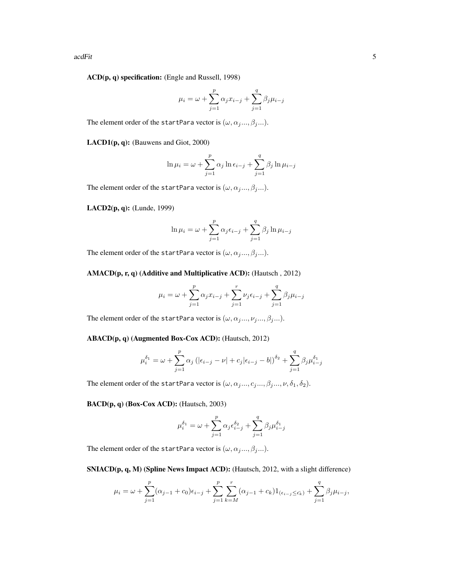acdFit 5

ACD(p, q) specification: (Engle and Russell, 1998)

$$
\mu_i = \omega + \sum_{j=1}^p \alpha_j x_{i-j} + \sum_{j=1}^q \beta_j \mu_{i-j}
$$

The element order of the startPara vector is  $(\omega, \alpha_j . . . , \beta_j . . .).$ 

LACD1(p, q): (Bauwens and Giot, 2000)

$$
\ln \mu_i = \omega + \sum_{j=1}^p \alpha_j \ln \epsilon_{i-j} + \sum_{j=1}^q \beta_j \ln \mu_{i-j}
$$

The element order of the startPara vector is  $(\omega, \alpha_j . . . , \beta_j . . .).$ 

LACD2(p, q): (Lunde, 1999)

$$
\ln \mu_i = \omega + \sum_{j=1}^p \alpha_j \epsilon_{i-j} + \sum_{j=1}^q \beta_j \ln \mu_{i-j}
$$

The element order of the startPara vector is  $(\omega, \alpha_j . . . , \beta_j . . .).$ 

#### AMACD(p, r, q) (Additive and Multiplicative ACD): (Hautsch , 2012)

$$
\mu_{i} = \omega + \sum_{j=1}^{p} \alpha_{j} x_{i-j} + \sum_{j=1}^{r} \nu_{j} \epsilon_{i-j} + \sum_{j=1}^{q} \beta_{j} \mu_{i-j}
$$

The element order of the startPara vector is  $(\omega, \alpha_j...,\nu_j...,\beta_j...).$ 

ABACD(p, q) (Augmented Box-Cox ACD): (Hautsch, 2012)

$$
\mu_i^{\delta_1} = \omega + \sum_{j=1}^p \alpha_j \left( |\epsilon_{i-j} - \nu| + c_j |\epsilon_{i-j} - b| \right)^{\delta_2} + \sum_{j=1}^q \beta_j \mu_{i-j}^{\delta_1}
$$

The element order of the startPara vector is  $(\omega,\alpha_j...,\alpha_j...,\beta_j...,\nu,\delta_1,\delta_2).$ 

BACD(p, q) (Box-Cox ACD): (Hautsch, 2003)

$$
\mu_i^{\delta_1} = \omega + \sum_{j=1}^p \alpha_j \epsilon_{i-j}^{\delta_2} + \sum_{j=1}^q \beta_j \mu_{i-j}^{\delta_1}
$$

The element order of the startPara vector is  $(\omega, \alpha_j...,\beta_j...)$ .

SNIACD(p, q, M) (Spline News Impact ACD): (Hautsch, 2012, with a slight difference)

$$
\mu_i = \omega + \sum_{j=1}^p (\alpha_{j-1} + c_0) \epsilon_{i-j} + \sum_{j=1}^p \sum_{k=M}^r (\alpha_{j-1} + c_k) 1_{(\epsilon_{i-j} \le \epsilon_k)} + \sum_{j=1}^q \beta_j \mu_{i-j},
$$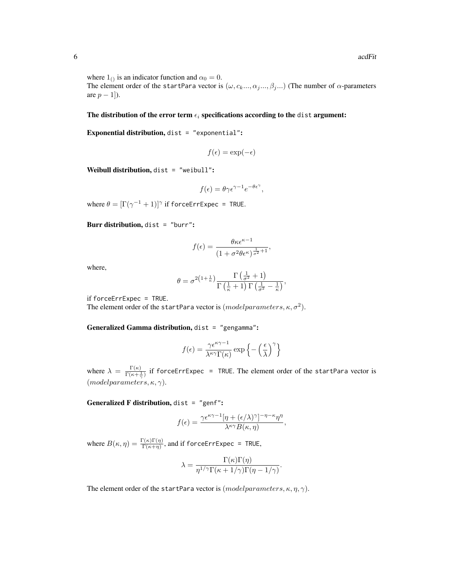where  $1_{()}$  is an indicator function and  $\alpha_0 = 0$ . The element order of the startPara vector is  $(\omega, c_k, ..., \alpha_j, ..., \beta_j, ...)$  (The number of  $\alpha$ -parameters are  $p-1$ ]).

The distribution of the error term  $\epsilon_i$  specifications according to the dist argument:

Exponential distribution, dist = "exponential":

$$
f(\epsilon) = \exp(-\epsilon)
$$

Weibull distribution, dist = "weibull":

$$
f(\epsilon) = \theta \gamma \epsilon^{\gamma - 1} e^{-\theta \epsilon^{\gamma}},
$$

where  $\theta = [\Gamma(\gamma^{-1}+1)]^{\gamma}$  if forceErrExpec = TRUE.

Burr distribution, dist = "burr":

$$
f(\epsilon) = \frac{\theta \kappa \epsilon^{\kappa - 1}}{(1 + \sigma^2 \theta \epsilon^{\kappa})^{\frac{1}{\sigma^2} + 1}},
$$

where,

$$
\theta = \sigma^{2\left(1+\frac{1}{\kappa}\right)} \frac{\Gamma\left(\frac{1}{\sigma^2}+1\right)}{\Gamma\left(\frac{1}{\kappa}+1\right) \Gamma\left(\frac{1}{\sigma^2}-\frac{1}{\kappa}\right)},
$$

if forceErrExpec = TRUE.

The element order of the startPara vector is  $(model parameters, \kappa, \sigma^2)$ .

Generalized Gamma distribution, dist = "gengamma":

$$
f(\epsilon) = \frac{\gamma \epsilon^{\kappa \gamma - 1}}{\lambda^{\kappa \gamma} \Gamma(\kappa)} \exp \left\{-\left(\frac{\epsilon}{\lambda}\right)^{\gamma}\right\}
$$

where  $\lambda = \frac{\Gamma(\kappa)}{\Gamma(\kappa + \frac{1}{\gamma})}$  if forceErrExpec = TRUE. The element order of the startPara vector is  $(modeparameters, \kappa, \gamma).$ 

Generalized F distribution, dist = "genf":

$$
f(\epsilon) = \frac{\gamma \epsilon^{\kappa \gamma - 1} [\eta + (\epsilon/\lambda)^{\gamma}]^{-\eta - \kappa} \eta^{\eta}}{\lambda^{\kappa \gamma} B(\kappa, \eta)},
$$

where  $B(\kappa, \eta) = \frac{\Gamma(\kappa)\Gamma(\eta)}{\Gamma(\kappa+\eta)}$ , and if forceErrExpec = TRUE,

$$
\lambda = \frac{\Gamma(\kappa)\Gamma(\eta)}{\eta^{1/\gamma}\Gamma(\kappa + 1/\gamma)\Gamma(\eta - 1/\gamma)}.
$$

The element order of the startPara vector is  $(modeparameters, \kappa, \eta, \gamma)$ .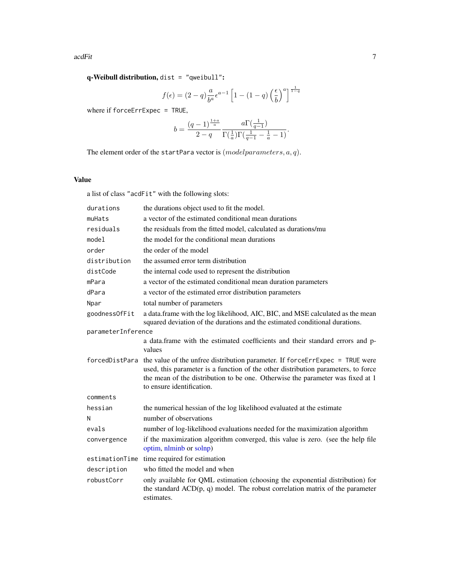<span id="page-6-0"></span>q-Weibull distribution, dist = "qweibull":

$$
f(\epsilon) = (2-q)\frac{a}{b^a}\epsilon^{a-1} \left[1 - (1-q)\left(\frac{\epsilon}{b}\right)^a\right]^{\frac{1}{1-q}}
$$

where if forceErrExpec = TRUE,

$$
b = \frac{(q-1)^{\frac{1+a}{a}}}{2-q} \frac{a \Gamma(\frac{1}{q-1})}{\Gamma(\frac{1}{a}) \Gamma(\frac{1}{q-1} - \frac{1}{a} - 1)}.
$$

The element order of the startPara vector is  $(model parameters, a, q)$ .

# Value

a list of class "acdFit" with the following slots:

| durations          | the durations object used to fit the model.                                                                                                                                                                                                                                      |  |  |
|--------------------|----------------------------------------------------------------------------------------------------------------------------------------------------------------------------------------------------------------------------------------------------------------------------------|--|--|
| muHats             | a vector of the estimated conditional mean durations                                                                                                                                                                                                                             |  |  |
| residuals          | the residuals from the fitted model, calculated as durations/mu                                                                                                                                                                                                                  |  |  |
| model              | the model for the conditional mean durations                                                                                                                                                                                                                                     |  |  |
| order              | the order of the model                                                                                                                                                                                                                                                           |  |  |
| distribution       | the assumed error term distribution                                                                                                                                                                                                                                              |  |  |
| distCode           | the internal code used to represent the distribution                                                                                                                                                                                                                             |  |  |
| mPara              | a vector of the estimated conditional mean duration parameters                                                                                                                                                                                                                   |  |  |
| dPara              | a vector of the estimated error distribution parameters                                                                                                                                                                                                                          |  |  |
| Npar               | total number of parameters                                                                                                                                                                                                                                                       |  |  |
| goodnessOfFit      | a data.frame with the log likelihood, AIC, BIC, and MSE calculated as the mean<br>squared deviation of the durations and the estimated conditional durations.                                                                                                                    |  |  |
| parameterInference |                                                                                                                                                                                                                                                                                  |  |  |
|                    | a data.frame with the estimated coefficients and their standard errors and p-<br>values                                                                                                                                                                                          |  |  |
| forcedDistPara     | the value of the unfree distribution parameter. If forceErrExpec = TRUE were<br>used, this parameter is a function of the other distribution parameters, to force<br>the mean of the distribution to be one. Otherwise the parameter was fixed at 1<br>to ensure identification. |  |  |
| comments           |                                                                                                                                                                                                                                                                                  |  |  |
| hessian            | the numerical hessian of the log likelihood evaluated at the estimate                                                                                                                                                                                                            |  |  |
| N                  | number of observations                                                                                                                                                                                                                                                           |  |  |
| evals              | number of log-likelihood evaluations needed for the maximization algorithm                                                                                                                                                                                                       |  |  |
| convergence        | if the maximization algorithm converged, this value is zero. (see the help file<br>optim, nlminb or solnp)                                                                                                                                                                       |  |  |
| estimationTime     | time required for estimation                                                                                                                                                                                                                                                     |  |  |
| description        | who fitted the model and when                                                                                                                                                                                                                                                    |  |  |
| robustCorr         | only available for QML estimation (choosing the exponential distribution) for<br>the standard $ACD(p, q)$ model. The robust correlation matrix of the parameter<br>estimates.                                                                                                    |  |  |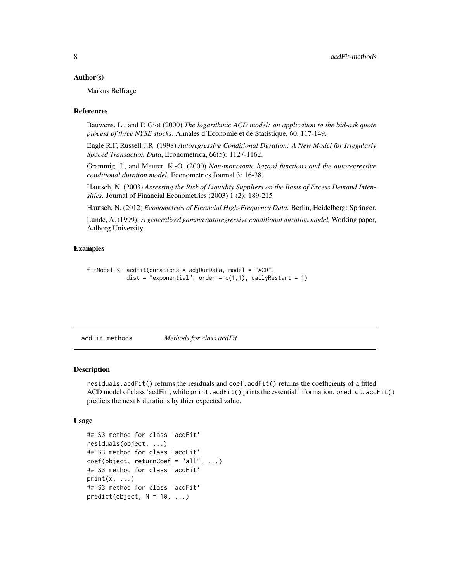#### <span id="page-7-0"></span>Author(s)

Markus Belfrage

#### References

Bauwens, L., and P. Giot (2000) *The logarithmic ACD model: an application to the bid-ask quote process of three NYSE stocks.* Annales d'Economie et de Statistique, 60, 117-149.

Engle R.F, Russell J.R. (1998) *Autoregressive Conditional Duration: A New Model for Irregularly Spaced Transaction Data*, Econometrica, 66(5): 1127-1162.

Grammig, J., and Maurer, K.-O. (2000) *Non-monotonic hazard functions and the autoregressive conditional duration model.* Econometrics Journal 3: 16-38.

Hautsch, N. (2003) *Assessing the Risk of Liquidity Suppliers on the Basis of Excess Demand Intensities.* Journal of Financial Econometrics (2003) 1 (2): 189-215

Hautsch, N. (2012) *Econometrics of Financial High-Frequency Data.* Berlin, Heidelberg: Springer.

Lunde, A. (1999): *A generalized gamma autoregressive conditional duration model,* Working paper, Aalborg University.

# Examples

```
fitModel <- acdFit(durations = adjDurData, model = "ACD",
            dist = "exponential", order = c(1,1), dailyRestart = 1)
```
acdFit-methods *Methods for class acdFit*

#### Description

residuals.acdFit() returns the residuals and coef.acdFit() returns the coefficients of a fitted ACD model of class 'acdFit', while print.acdFit() prints the essential information. predict.acdFit() predicts the next N durations by thier expected value.

```
## S3 method for class 'acdFit'
residuals(object, ...)
## S3 method for class 'acdFit'
coef(object, returnCoef = "all", ...)## S3 method for class 'acdFit'
print(x, \ldots)## S3 method for class 'acdFit'
predict(object, N = 10, ...)
```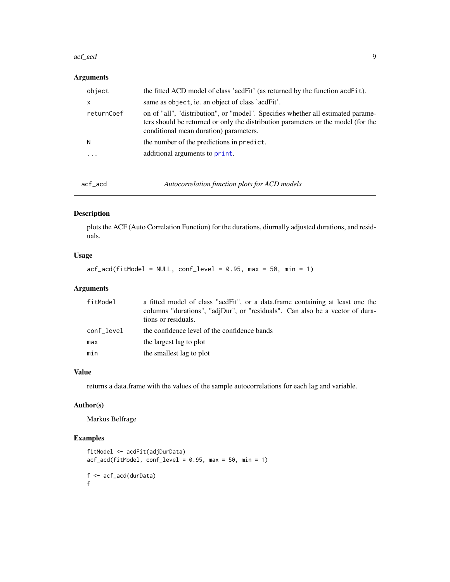#### <span id="page-8-0"></span>acf\_acd 99

# Arguments

| the fitted ACD model of class 'acdFit' (as returned by the function acdFit).<br>object                                                                                                                                        |  |
|-------------------------------------------------------------------------------------------------------------------------------------------------------------------------------------------------------------------------------|--|
| same as object, ie. an object of class 'acdFit'.<br>X                                                                                                                                                                         |  |
| on of "all", "distribution", or "model". Specifies whether all estimated parame-<br>returnCoef<br>ters should be returned or only the distribution parameters or the model (for the<br>conditional mean duration) parameters. |  |
| the number of the predictions in predict.<br>N                                                                                                                                                                                |  |
| additional arguments to print.<br>.                                                                                                                                                                                           |  |

acf\_acd *Autocorrelation function plots for ACD models*

# Description

plots the ACF (Auto Correlation Function) for the durations, diurnally adjusted durations, and residuals.

# Usage

 $\text{acf}\text{-} \text{acd}( \text{fitModel} = \text{NULL}, \text{conf}\text{-} \text{level} = 0.95, \text{max} = 50, \text{min} = 1)$ 

# Arguments

| fitModel   | a fitted model of class "acdFit", or a data.frame containing at least one the<br>columns "durations", "adjDur", or "residuals". Can also be a vector of dura-<br>tions or residuals. |
|------------|--------------------------------------------------------------------------------------------------------------------------------------------------------------------------------------|
| conf level | the confidence level of the confidence bands                                                                                                                                         |
| max        | the largest lag to plot                                                                                                                                                              |
| min        | the smallest lag to plot                                                                                                                                                             |

# Value

returns a data.frame with the values of the sample autocorrelations for each lag and variable.

# Author(s)

Markus Belfrage

# Examples

```
fitModel <- acdFit(adjDurData)
acf_acd(fitModel, conf_level = 0.95, max = 50, min = 1)
f <- acf_acd(durData)
f
```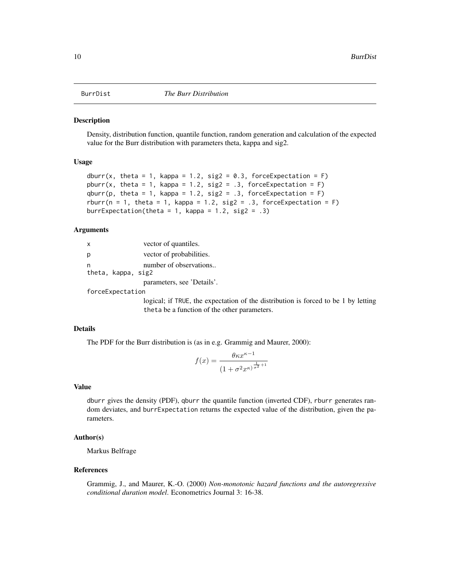<span id="page-9-0"></span>

# **Description**

Density, distribution function, quantile function, random generation and calculation of the expected value for the Burr distribution with parameters theta, kappa and sig2.

# Usage

```
dburr(x, theta = 1, kappa = 1.2, sig2 = 0.3, forceExpectation = F)
pburr(x, theta = 1, kappa = 1.2, sig2 = .3, forceExpectation = F)
qburn(p, theta = 1, kappa = 1.2, sig2 = .3, forceExpectation = F)rburr(n = 1, theta = 1, kappa = 1.2, sig2 = .3, forceExpectation = F)
burrExpectation(theta = 1, kappa = 1.2, sig2 = .3)
```
# Arguments

| x |                    | vector of quantiles.       |
|---|--------------------|----------------------------|
| р |                    | vector of probabilities.   |
| n | theta, kappa, sig2 | number of observations     |
|   |                    | parameters, see 'Details'. |

forceExpectation

logical; if TRUE, the expectation of the distribution is forced to be 1 by letting theta be a function of the other parameters.

# Details

The PDF for the Burr distribution is (as in e.g. Grammig and Maurer, 2000):

$$
f(x) = \frac{\theta \kappa x^{\kappa - 1}}{\left(1 + \sigma^2 x^{\kappa}\right)^{\frac{1}{\sigma^2} + 1}}
$$

#### Value

dburr gives the density (PDF), qburr the quantile function (inverted CDF), rburr generates random deviates, and burrExpectation returns the expected value of the distribution, given the parameters.

# Author(s)

Markus Belfrage

# References

Grammig, J., and Maurer, K.-O. (2000) *Non-monotonic hazard functions and the autoregressive conditional duration model*. Econometrics Journal 3: 16-38.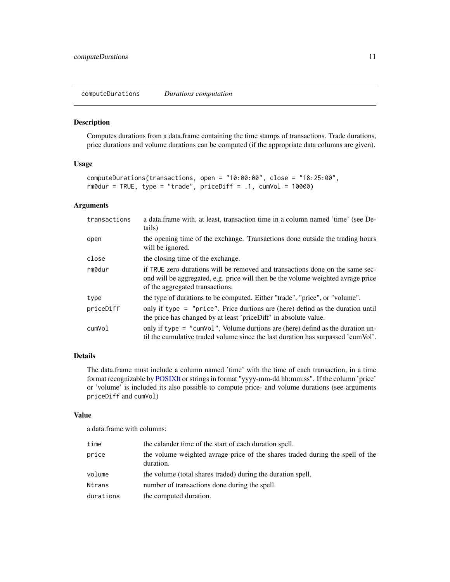<span id="page-10-0"></span>computeDurations *Durations computation*

# Description

Computes durations from a data.frame containing the time stamps of transactions. Trade durations, price durations and volume durations can be computed (if the appropriate data columns are given).

# Usage

```
computeDurations(transactions, open = "10:00:00", close = "18:25:00",
r \cdot \text{m0}dur = TRUE, type = "trade", priceDiff = .1, cumVol = 10000)
```
# Arguments

| transactions | a data frame with, at least, transaction time in a column named 'time' (see De-<br>tails)                                                                                                            |  |
|--------------|------------------------------------------------------------------------------------------------------------------------------------------------------------------------------------------------------|--|
| open         | the opening time of the exchange. Transactions done outside the trading hours<br>will be ignored.                                                                                                    |  |
| close        | the closing time of the exchange.                                                                                                                                                                    |  |
| rm0dur       | if TRUE zero-durations will be removed and transactions done on the same sec-<br>ond will be aggregated, e.g. price will then be the volume weighted avrage price<br>of the aggregated transactions. |  |
| type         | the type of durations to be computed. Either "trade", "price", or "volume".                                                                                                                          |  |
| priceDiff    | only if type = "price". Price durtions are (here) defind as the duration until<br>the price has changed by at least 'priceDiff' in absolute value.                                                   |  |
| cumVol       | only if type = "cumvol". Volume durtions are (here) defind as the duration un-<br>til the cumulative traded volume since the last duration has surpassed 'cumVol'.                                   |  |

# Details

The data.frame must include a column named 'time' with the time of each transaction, in a time format recognizable by [POSIXlt](#page-0-0) or strings in format "yyyy-mm-dd hh:mm:ss". If the column 'price' or 'volume' is included its also possible to compute price- and volume durations (see arguments priceDiff and cumVol)

#### Value

a data.frame with columns:

| time      | the calander time of the start of each duration spell.                                     |
|-----------|--------------------------------------------------------------------------------------------|
| price     | the volume weighted avrage price of the shares traded during the spell of the<br>duration. |
| volume    | the volume (total shares traded) during the duration spell.                                |
| Ntrans    | number of transactions done during the spell.                                              |
| durations | the computed duration.                                                                     |
|           |                                                                                            |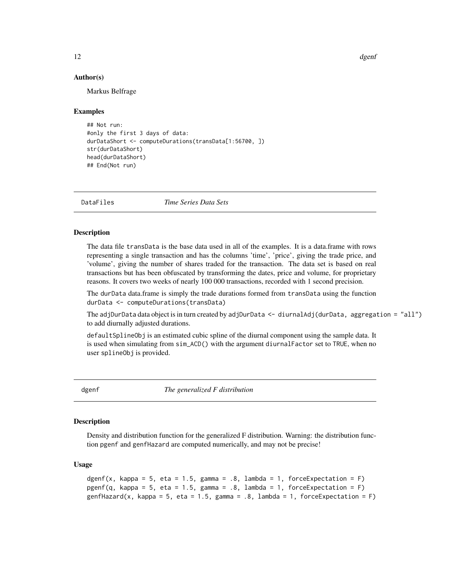12 dgenf

### Author(s)

Markus Belfrage

#### Examples

```
## Not run:
#only the first 3 days of data:
durDataShort <- computeDurations(transData[1:56700, ])
str(durDataShort)
head(durDataShort)
## End(Not run)
```
DataFiles *Time Series Data Sets*

# **Description**

The data file transData is the base data used in all of the examples. It is a data.frame with rows representing a single transaction and has the columns 'time', 'price', giving the trade price, and 'volume', giving the number of shares traded for the transaction. The data set is based on real transactions but has been obfuscated by transforming the dates, price and volume, for proprietary reasons. It covers two weeks of nearly 100 000 transactions, recorded with 1 second precision.

The durData data.frame is simply the trade durations formed from transData using the function durData <- computeDurations(transData)

The adjDurData data object is in turn created by adjDurData <- diurnalAdj(durData, aggregation = "all") to add diurnally adjusted durations.

defaultSplineObj is an estimated cubic spline of the diurnal component using the sample data. It is used when simulating from sim\_ACD() with the argument diurnalFactor set to TRUE, when no user splineObj is provided.

dgenf *The generalized F distribution*

#### **Description**

Density and distribution function for the generalized F distribution. Warning: the distribution function pgenf and genfHazard are computed numerically, and may not be precise!

```
dgenf(x, kappa = 5, eta = 1.5, gamma = .8, lambda = 1, forceExpectation = F)
pgenf(q, kappa = 5, eta = 1.5, gamma = .8, lambda = 1, forceExpectation = F)
genfHazard(x, kappa = 5, eta = 1.5, gamma = .8, lambda = 1, forceExpectation = F)
```
<span id="page-11-0"></span>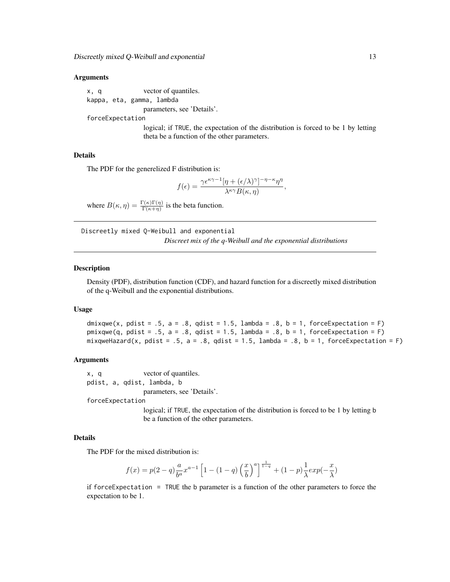### <span id="page-12-0"></span>Arguments

x, q vector of quantiles. kappa, eta, gamma, lambda

parameters, see 'Details'.

forceExpectation

logical; if TRUE, the expectation of the distribution is forced to be 1 by letting theta be a function of the other parameters.

#### Details

The PDF for the generelized F distribution is:

$$
f(\epsilon) = \frac{\gamma \epsilon^{\kappa \gamma - 1} [\eta + (\epsilon/\lambda)^{\gamma}]^{-\eta - \kappa} \eta^{\eta}}{\lambda^{\kappa \gamma} B(\kappa, \eta)},
$$

where  $B(\kappa, \eta) = \frac{\Gamma(\kappa)\Gamma(\eta)}{\Gamma(\kappa+\eta)}$  is the beta function.

Discreetly mixed Q-Weibull and exponential *Discreet mix of the q-Weibull and the exponential distributions*

#### <span id="page-12-1"></span>**Description**

Density (PDF), distribution function (CDF), and hazard function for a discreetly mixed distribution of the q-Weibull and the exponential distributions.

#### Usage

dmixqwe(x, pdist =  $.5$ , a =  $.8$ , qdist =  $1.5$ , lambda =  $.8$ , b =  $1$ , forceExpectation =  $F$ )  $pmixqwe(q, pdist = .5, a = .8, qdist = 1.5, lambda = .8, b = 1, forceExpectation = F)$ mixqweHazard(x, pdist = .5, a = .8, qdist = 1.5, lambda = .8, b = 1, forceExpectation = F)

#### Arguments

x, q vector of quantiles. pdist, a, qdist, lambda, b parameters, see 'Details'.

forceExpectation

logical; if TRUE, the expectation of the distribution is forced to be 1 by letting b be a function of the other parameters.

#### Details

The PDF for the mixed distribution is:

$$
f(x)=p(2-q)\frac{a}{b^a}x^{a-1}\left[1-\left(1-q\right)\left(\frac{x}{b}\right)^a\right]^{\frac{1}{1-q}}+\left(1-p\right)\frac{1}{\lambda}exp(-\frac{x}{\lambda})
$$

if forceExpectation = TRUE the b parameter is a function of the other parameters to force the expectation to be 1.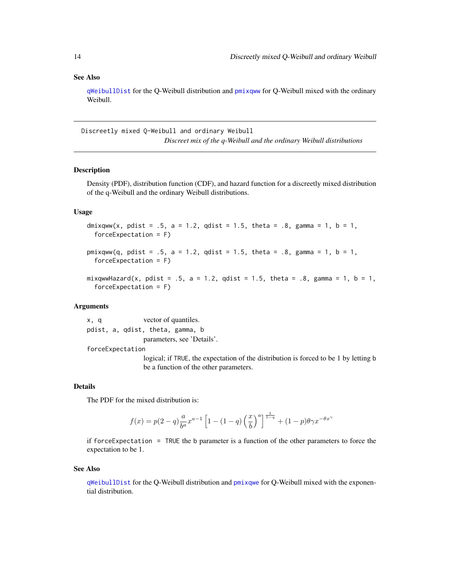# <span id="page-13-0"></span>See Also

[qWeibullDist](#page-23-1) for the Q-Weibull distribution and [pmixqww](#page-13-1) for Q-Weibull mixed with the ordinary Weibull.

Discreetly mixed Q-Weibull and ordinary Weibull *Discreet mix of the q-Weibull and the ordinary Weibull distributions*

#### <span id="page-13-1"></span>Description

Density (PDF), distribution function (CDF), and hazard function for a discreetly mixed distribution of the q-Weibull and the ordinary Weibull distributions.

# Usage

```
dmixqww(x, pdist = .5, a = 1.2, qdist = 1.5, theta = .8, gamma = 1, b = 1,
 forceExpectation = F)
```
 $pmixqww(q, pdist = .5, a = 1.2, qdist = 1.5, theta = .8, gamma = 1, b = 1,$ forceExpectation = F)

```
mixqwwHazard(x, pdist = .5, a = 1.2, qdist = 1.5, theta = .8, gamma = 1, b = 1,
  forceExpectation = F)
```
# Arguments

x, q vector of quantiles. pdist, a, qdist, theta, gamma, b parameters, see 'Details'.

forceExpectation

logical; if TRUE, the expectation of the distribution is forced to be 1 by letting b be a function of the other parameters.

#### Details

The PDF for the mixed distribution is:

$$
f(x) = p(2-q)\frac{a}{b^a}x^{a-1} \left[1 - (1-q)\left(\frac{x}{b}\right)^a\right]^{\frac{1}{1-q}} + (1-p)\theta\gamma x^{-\theta x^{\gamma}}
$$

if forceExpectation = TRUE the b parameter is a function of the other parameters to force the expectation to be 1.

# See Also

[qWeibullDist](#page-23-1) for the Q-Weibull distribution and [pmixqwe](#page-12-1) for Q-Weibull mixed with the exponential distribution.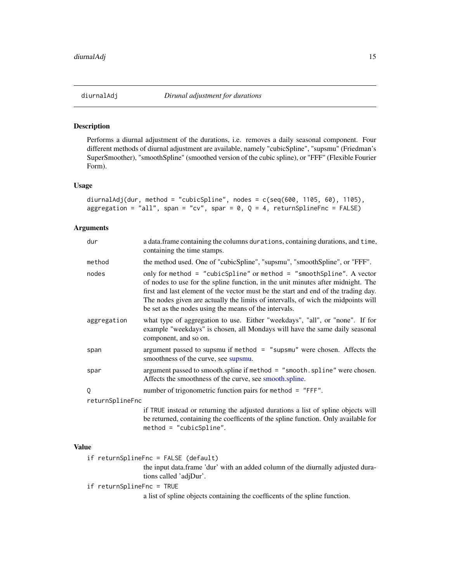<span id="page-14-0"></span>

# Description

Performs a diurnal adjustment of the durations, i.e. removes a daily seasonal component. Four different methods of diurnal adjustment are available, namely "cubicSpline", "supsmu" (Friedman's SuperSmoother), "smoothSpline" (smoothed version of the cubic spline), or "FFF" (Flexible Fourier Form).

# Usage

```
diurnalAdj(dur, method = "cubicSpline", nodes = c(seq(600, 1105, 60), 1105),
aggregation = "all", span = "cv", spar = 0, Q = 4, returnSplineFnc = FALSE)
```
# Arguments

| dur             | a data.frame containing the columns durations, containing durations, and time,<br>containing the time stamps.                                                                                                                                                                                                                                                                                |  |  |
|-----------------|----------------------------------------------------------------------------------------------------------------------------------------------------------------------------------------------------------------------------------------------------------------------------------------------------------------------------------------------------------------------------------------------|--|--|
| method          | the method used. One of "cubicSpline", "supsmu", "smoothSpline", or "FFF".                                                                                                                                                                                                                                                                                                                   |  |  |
| nodes           | only for method = "cubicSpline" or method = "smoothSpline". A vector<br>of nodes to use for the spline function, in the unit minutes after midnight. The<br>first and last element of the vector must be the start and end of the trading day.<br>The nodes given are actually the limits of intervalls, of wich the midpoints will<br>be set as the nodes using the means of the intervals. |  |  |
| aggregation     | what type of aggregation to use. Either "weekdays", "all", or "none". If for<br>example "weekdays" is chosen, all Mondays will have the same daily seasonal<br>component, and so on.                                                                                                                                                                                                         |  |  |
| span            | argument passed to supsmu if method = "supsmu" were chosen. Affects the<br>smoothness of the curve, see supsmu.                                                                                                                                                                                                                                                                              |  |  |
| spar            | argument passed to smooth.spline if method = "smooth.spline" were chosen.<br>Affects the smoothness of the curve, see smooth.spline.                                                                                                                                                                                                                                                         |  |  |
| Q               | number of trigonometric function pairs for method = "FFF".                                                                                                                                                                                                                                                                                                                                   |  |  |
| returnSplineFnc |                                                                                                                                                                                                                                                                                                                                                                                              |  |  |
|                 | if TRUE instead or returning the adjusted durations a list of spline objects will<br>be returned, containing the coefficents of the spline function. Only available for<br>$method = "cubicSplitne".$                                                                                                                                                                                        |  |  |

#### Value

if returnSplineFnc = FALSE (default)

the input data.frame 'dur' with an added column of the diurnally adjusted durations called 'adjDur'.

if returnSplineFnc = TRUE

a list of spline objects containing the coefficents of the spline function.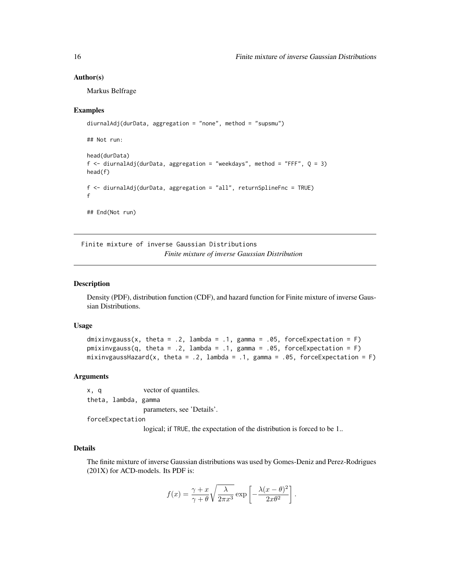#### Author(s)

Markus Belfrage

# Examples

```
diurnalAdj(durData, aggregation = "none", method = "supsmu")
## Not run:
head(durData)
f \le diurnalAdj(durData, aggregation = "weekdays", method = "FFF", Q = 3)
head(f)
f <- diurnalAdj(durData, aggregation = "all", returnSplineFnc = TRUE)
f
## End(Not run)
```
Finite mixture of inverse Gaussian Distributions *Finite mixture of inverse Gaussian Distribution*

# Description

Density (PDF), distribution function (CDF), and hazard function for Finite mixture of inverse Gaussian Distributions.

# Usage

```
dmixinvgauss(x, theta = .2, lambda = .1, gamma = .05, forceExpectation = F)
pmixinvgauss(q, theta = .2, lambda = .1, gamma = .05, forceExpectation = F)
mixinvgaussHazard(x, theta = .2, lambda = .1, gamma = .05, forceExpectation = F)
```
# Arguments

x, q vector of quantiles. theta, lambda, gamma parameters, see 'Details'. forceExpectation

logical; if TRUE, the expectation of the distribution is forced to be 1..

# Details

The finite mixture of inverse Gaussian distributions was used by Gomes-Deniz and Perez-Rodrigues (201X) for ACD-models. Its PDF is:

$$
f(x) = \frac{\gamma + x}{\gamma + \theta} \sqrt{\frac{\lambda}{2\pi x^3}} \exp \left[ -\frac{\lambda (x - \theta)^2}{2x \theta^2} \right].
$$

<span id="page-15-0"></span>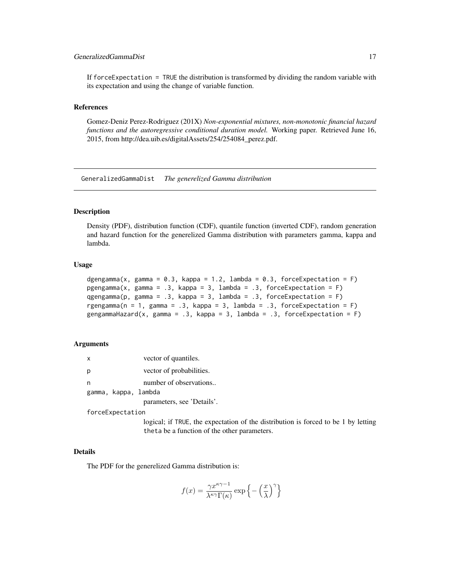# <span id="page-16-0"></span>GeneralizedGammaDist 17

If forceExpectation = TRUE the distribution is transformed by dividing the random variable with its expectation and using the change of variable function.

# References

Gomez-Deniz Perez-Rodriguez (201X) *Non-exponential mixtures, non-monotonic financial hazard functions and the autoregressive conditional duration model.* Working paper. Retrieved June 16, 2015, from http://dea.uib.es/digitalAssets/254/254084\_perez.pdf.

GeneralizedGammaDist *The generelized Gamma distribution*

# **Description**

Density (PDF), distribution function (CDF), quantile function (inverted CDF), random generation and hazard function for the generelized Gamma distribution with parameters gamma, kappa and lambda.

# Usage

```
dgengamma(x, gamma = 0.3, kappa = 1.2, lambda = 0.3, forceExpectation = F)
pgengamma(x, gamma = .3, kappa = 3, lambda = .3, forceExpectation = F)
qgengamma(p, gamma = .3, kappa = 3, lambda = .3, forceExpectation = F)
rgengamma(n = 1, gamma = .3, kappa = 3, lambda = .3, forceExpectation = F)
gengammaHazard(x, gamma = .3, kappa = 3, lambda = .3, forceExpectation = F)
```
#### Arguments

| $\times$ |                      | vector of quantiles.       |
|----------|----------------------|----------------------------|
| р        |                      | vector of probabilities.   |
| n        |                      | number of observations     |
|          | gamma, kappa, lambda |                            |
|          |                      | parameters, see 'Details'. |

forceExpectation

logical; if TRUE, the expectation of the distribution is forced to be 1 by letting theta be a function of the other parameters.

# Details

The PDF for the generelized Gamma distribution is:

$$
f(x) = \frac{\gamma x^{\kappa \gamma -1}}{\lambda^{\kappa \gamma} \Gamma(\kappa)} \exp \left\{-\left(\frac{x}{\lambda}\right)^{\gamma}\right\}
$$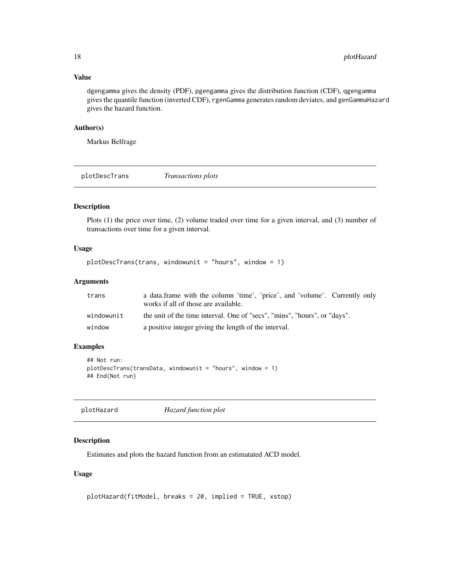# <span id="page-17-0"></span>Value

dgengamma gives the density (PDF), pgengamma gives the distribution function (CDF), qgengamma gives the quantile function (inverted CDF), rgenGamma generates random deviates, and genGammaHazard gives the hazard function.

# Author(s)

Markus Belfrage

plotDescTrans *Transactions plots*

# Description

Plots (1) the price over time, (2) volume traded over time for a given interval, and (3) number of transactions over time for a given interval.

# Usage

```
plotDescTrans(trans, windowunit = "hours", window = 1)
```
# Arguments

| trans      | a data. frame with the column 'time', 'price', and 'volume'. Currently only<br>works if all of those are available. |
|------------|---------------------------------------------------------------------------------------------------------------------|
| windowunit | the unit of the time interval. One of "secs", "mins", "hours", or "days".                                           |
| window     | a positive integer giving the length of the interval.                                                               |

# Examples

```
## Not run:
plotDescTrans(transData, windowunit = "hours", window = 1)
## End(Not run)
```
plotHazard *Hazard function plot*

# Description

Estimates and plots the hazard function from an estimatated ACD model.

```
plotHazard(fitModel, breaks = 20, implied = TRUE, xstop)
```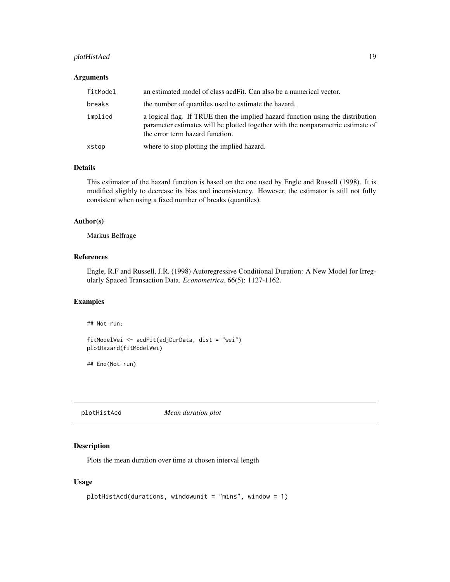# <span id="page-18-0"></span>plotHistAcd 19

#### Arguments

| fitModel | an estimated model of class acdFit. Can also be a numerical vector.                                                                                                                                   |
|----------|-------------------------------------------------------------------------------------------------------------------------------------------------------------------------------------------------------|
| breaks   | the number of quantiles used to estimate the hazard.                                                                                                                                                  |
| implied  | a logical flag. If TRUE then the implied hazard function using the distribution<br>parameter estimates will be plotted together with the nonparametric estimate of<br>the error term hazard function. |
| xstop    | where to stop plotting the implied hazard.                                                                                                                                                            |

# Details

This estimator of the hazard function is based on the one used by Engle and Russell (1998). It is modified sligthly to decrease its bias and inconsistency. However, the estimator is still not fully consistent when using a fixed number of breaks (quantiles).

# Author(s)

Markus Belfrage

# References

Engle, R.F and Russell, J.R. (1998) Autoregressive Conditional Duration: A New Model for Irregularly Spaced Transaction Data. *Econometrica*, 66(5): 1127-1162.

#### Examples

## Not run:

```
fitModelWei <- acdFit(adjDurData, dist = "wei")
plotHazard(fitModelWei)
```
## End(Not run)

plotHistAcd *Mean duration plot*

# Description

Plots the mean duration over time at chosen interval length

```
plotHistAcd(durations, windowunit = "mins", window = 1)
```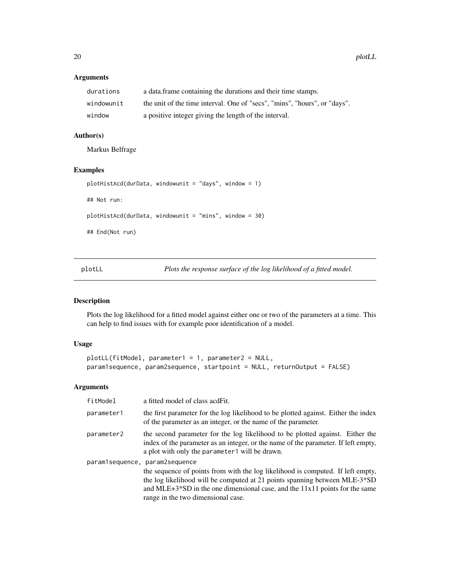# Arguments

| durations  | a data. frame containing the durations and their time stamps.             |
|------------|---------------------------------------------------------------------------|
| windowunit | the unit of the time interval. One of "secs", "mins", "hours", or "days". |
| window     | a positive integer giving the length of the interval.                     |

# Author(s)

Markus Belfrage

# Examples

```
plotHistAcd(durData, windowunit = "days", window = 1)
```
## Not run:

plotHistAcd(durData, windowunit = "mins", window = 30)

## End(Not run)

plotLL *Plots the response surface of the log likelihood of a fitted model.*

# Description

Plots the log likelihood for a fitted model against either one or two of the parameters at a time. This can help to find issues with for example poor identification of a model.

# Usage

```
plotLL(fitModel, parameter1 = 1, parameter2 = NULL,
param1sequence, param2sequence, startpoint = NULL, returnOutput = FALSE)
```
# Arguments

| fitModel   | a fitted model of class acd Fit.                                                                                                                                                                                                                                                     |
|------------|--------------------------------------------------------------------------------------------------------------------------------------------------------------------------------------------------------------------------------------------------------------------------------------|
| parameter1 | the first parameter for the log likelihood to be plotted against. Either the index<br>of the parameter as an integer, or the name of the parameter.                                                                                                                                  |
| parameter2 | the second parameter for the log likelihood to be plotted against. Either the<br>index of the parameter as an integer, or the name of the parameter. If left empty,<br>a plot with only the parameter1 will be drawn.                                                                |
|            | paramlsequence, paramlsequence                                                                                                                                                                                                                                                       |
|            | the sequence of points from with the log likelihood is computed. If left empty,<br>the log likelihood will be computed at 21 points spanning between MLE-3*SD<br>and MLE+3*SD in the one dimensional case, and the $11x11$ points for the same<br>range in the two dimensional case. |

<span id="page-19-0"></span>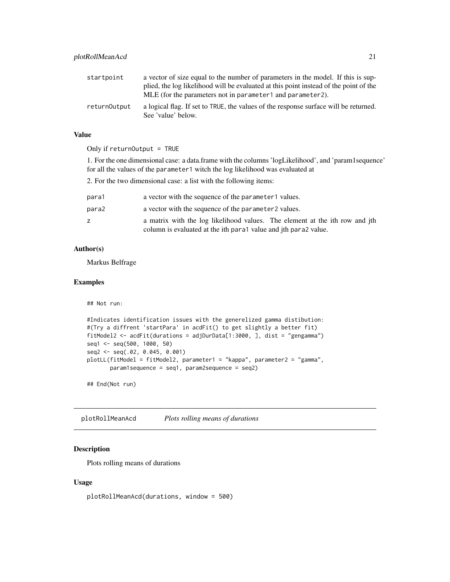<span id="page-20-0"></span>

| startpoint   | a vector of size equal to the number of parameters in the model. If this is sup-                           |
|--------------|------------------------------------------------------------------------------------------------------------|
|              | plied, the log likelihood will be evaluated at this point instead of the point of the                      |
|              | MLE (for the parameters not in parameter1 and parameter2).                                                 |
| returnOutput | a logical flag. If set to TRUE, the values of the response surface will be returned.<br>See 'value' below. |

# Value

Only if returnOutput = TRUE

1. For the one dimensional case: a data.frame with the columns 'logLikelihood', and 'param1sequence' for all the values of the parameter1 witch the log likelihood was evaluated at

2. For the two dimensional case: a list with the following items:

| para1 | a vector with the sequence of the parameter1 values.                        |
|-------|-----------------------------------------------------------------------------|
| para2 | a vector with the sequence of the parameter 2 values.                       |
| z.    | a matrix with the log likelihood values. The element at the ith row and jth |
|       | column is evaluated at the ith para1 value and jth para2 value.             |

# Author(s)

Markus Belfrage

# Examples

```
## Not run:
#Indicates identification issues with the generelized gamma distibution:
#(Try a diffrent 'startPara' in acdFit() to get slightly a better fit)
fitModel2 <- acdFit(durations = adjDurData[1:3000, ], dist = "gengamma")
seq1 <- seq(500, 1000, 50)
seq2 <- seq(.02, 0.045, 0.001)
plotLL(fitModel = fitModel2, parameter1 = "kappa", parameter2 = "gamma",
       param1sequence = seq1, param2sequence = seq2)
```
## End(Not run)

plotRollMeanAcd *Plots rolling means of durations*

# Description

Plots rolling means of durations

#### Usage

plotRollMeanAcd(durations, window = 500)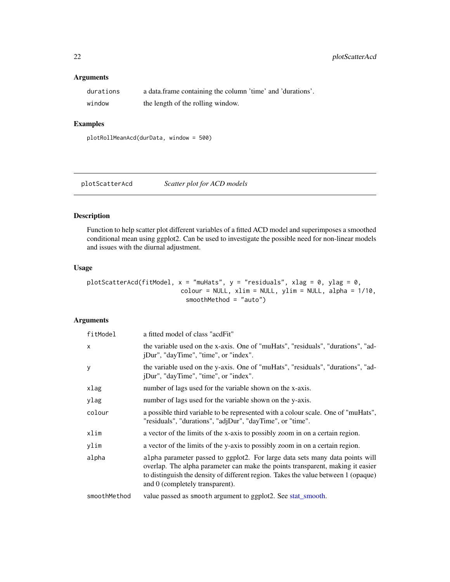# Arguments

| durations | a data frame containing the column 'time' and 'durations'. |
|-----------|------------------------------------------------------------|
| window    | the length of the rolling window.                          |

# Examples

plotRollMeanAcd(durData, window = 500)

plotScatterAcd *Scatter plot for ACD models*

# Description

Function to help scatter plot different variables of a fitted ACD model and superimposes a smoothed conditional mean using ggplot2. Can be used to investigate the possible need for non-linear models and issues with the diurnal adjustment.

# Usage

```
plotScatterAcd(fitModel, x = "muHats", y = "residuals", x \log = 0, y \log = 0,
                          colour = NULL, xlim = NULL, ylim = NULL, alpha = 1/10,
                            smoothMethod = "auto")
```
# Arguments

| fitModel     | a fitted model of class "acdFit"                                                                                                                                                                                                                                                        |
|--------------|-----------------------------------------------------------------------------------------------------------------------------------------------------------------------------------------------------------------------------------------------------------------------------------------|
| $\mathsf{x}$ | the variable used on the x-axis. One of "muHats", "residuals", "durations", "ad-<br>jDur", "dayTime", "time", or "index".                                                                                                                                                               |
| У            | the variable used on the y-axis. One of "muHats", "residuals", "durations", "ad-<br>jDur", "dayTime", "time", or "index".                                                                                                                                                               |
| xlag         | number of lags used for the variable shown on the x-axis.                                                                                                                                                                                                                               |
| ylag         | number of lags used for the variable shown on the y-axis.                                                                                                                                                                                                                               |
| colour       | a possible third variable to be represented with a colour scale. One of "muHats",<br>"residuals", "durations", "adjDur", "dayTime", or "time".                                                                                                                                          |
| xlim         | a vector of the limits of the x-axis to possibly zoom in on a certain region.                                                                                                                                                                                                           |
| ylim         | a vector of the limits of the y-axis to possibly zoom in on a certain region.                                                                                                                                                                                                           |
| alpha        | alpha parameter passed to ggplot2. For large data sets many data points will<br>overlap. The alpha parameter can make the points transparent, making it easier<br>to distinguish the density of different region. Takes the value between 1 (opaque)<br>and 0 (completely transparent). |
| smoothMethod | value passed as smooth argument to ggplot2. See stat_smooth.                                                                                                                                                                                                                            |

<span id="page-21-0"></span>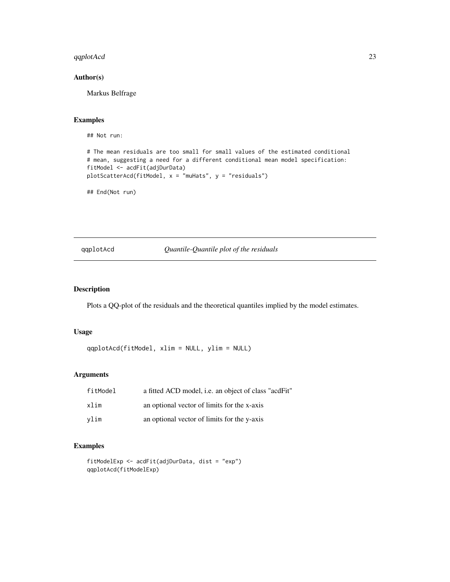# <span id="page-22-0"></span>qqplotAcd 23

# Author(s)

Markus Belfrage

# Examples

## Not run:

```
# The mean residuals are too small for small values of the estimated conditional
# mean, suggesting a need for a different conditional mean model specification:
fitModel <- acdFit(adjDurData)
plotScatterAcd(fitModel, x = "muHats", y = "residuals")
```
## End(Not run)

# qqplotAcd *Quantile-Quantile plot of the residuals*

# Description

Plots a QQ-plot of the residuals and the theoretical quantiles implied by the model estimates.

# Usage

qqplotAcd(fitModel, xlim = NULL, ylim = NULL)

# Arguments

| fitModel | a fitted ACD model, <i>i.e.</i> an object of class "acdFit" |
|----------|-------------------------------------------------------------|
| xlim     | an optional vector of limits for the x-axis                 |
| vlim     | an optional vector of limits for the y-axis                 |

# Examples

```
fitModelExp <- acdFit(adjDurData, dist = "exp")
qqplotAcd(fitModelExp)
```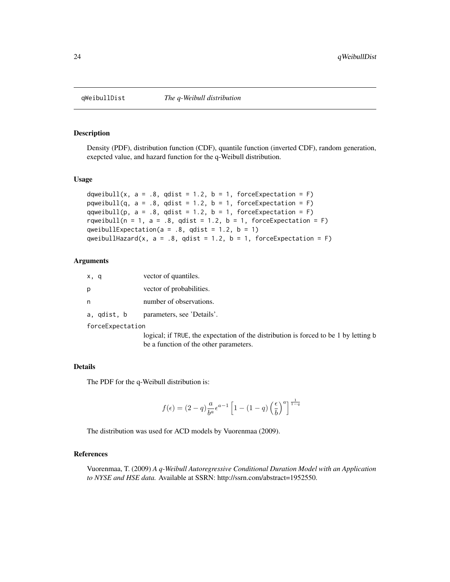<span id="page-23-1"></span><span id="page-23-0"></span>

# Description

Density (PDF), distribution function (CDF), quantile function (inverted CDF), random generation, exepcted value, and hazard function for the q-Weibull distribution.

#### Usage

```
dqweibull(x, a = .8, qdist = 1.2, b = 1, forceExpectation = F)
pqweibull(q, a = .8, qdist = 1.2, b = 1, forceExpectation = F)
qqweibull(p, a = .8, qdist = 1.2, b = 1, forceExpectation = F)
rqweibull(n = 1, a = .8, qdist = 1.2, b = 1, forceExpectation = F)
qweibullExpectation(a = .8, qdist = 1.2, b = 1)
qweibullHazard(x, a = .8, qdist = 1.2, b = 1, forceExpectation = F)
```
# Arguments

| x, q        | vector of quantiles.       |
|-------------|----------------------------|
| p           | vector of probabilities.   |
| n           | number of observations.    |
| a, qdist, b | parameters, see 'Details'. |

forceExpectation

logical; if TRUE, the expectation of the distribution is forced to be 1 by letting b be a function of the other parameters.

# Details

The PDF for the q-Weibull distribution is:

$$
f(\epsilon) = (2-q) \frac{a}{b^a} \epsilon^{a-1} \left[ 1 - (1-q) \left( \frac{\epsilon}{b} \right)^a \right]^{\frac{1}{1-q}}
$$

The distribution was used for ACD models by Vuorenmaa (2009).

#### References

Vuorenmaa, T. (2009) *A q-Weibull Autoregressive Conditional Duration Model with an Application to NYSE and HSE data.* Available at SSRN: http://ssrn.com/abstract=1952550.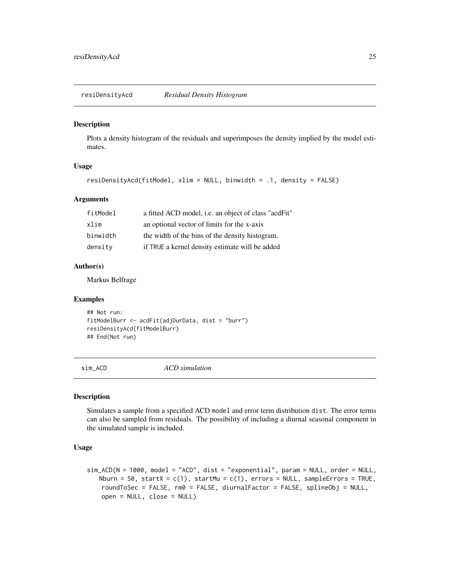<span id="page-24-0"></span>resiDensityAcd *Residual Density Histogram*

#### Description

Plots a density histogram of the residuals and superimposes the density implied by the model estimates.

# Usage

```
resiDensityAcd(fitModel, xlim = NULL, binwidth = .1, density = FALSE)
```
# Arguments

| fitModel | a fitted ACD model, i.e. an object of class "acdFit" |
|----------|------------------------------------------------------|
| xlim     | an optional vector of limits for the x-axis          |
| binwidth | the width of the bins of the density histogram.      |
| density  | if TRUE a kernel density estimate will be added      |

# Author(s)

Markus Belfrage

# Examples

```
## Not run:
fitModelBurr <- acdFit(adjDurData, dist = "burr")
resiDensityAcd(fitModelBurr)
## End(Not run)
```
sim\_ACD *ACD simulation*

# Description

Simulates a sample from a specified ACD model and error term distribution dist. The error terms can also be sampled from residuals. The possibility of including a diurnal seasonal component in the simulated sample is included.

```
sim_ACD(N = 1000, model = "ACD", dist = "exponential", param = NULL, order = NULL,
   Nburn = 50, startX = c(1), startMu = c(1), errors = NULL, sampleErrors = TRUE,
   roundToSec = FALSE, rm0 = FALSE, diurnalFactor = FALSE, splineObj = NULL,
    open = NULL, close = NULL)
```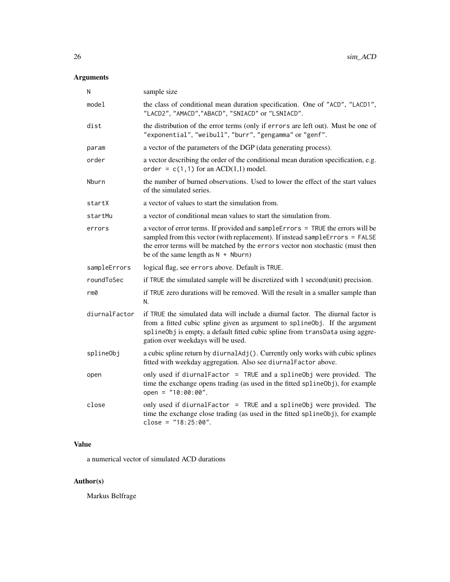# Arguments

| N             | sample size                                                                                                                                                                                                                                                                                 |
|---------------|---------------------------------------------------------------------------------------------------------------------------------------------------------------------------------------------------------------------------------------------------------------------------------------------|
| model         | the class of conditional mean duration specification. One of "ACD", "LACD1",<br>"LACD2", "AMACD","ABACD", "SNIACD" or "LSNIACD".                                                                                                                                                            |
| dist          | the distribution of the error terms (only if errors are left out). Must be one of<br>"exponential", "weibull", "burr", "gengamma" or "genf".                                                                                                                                                |
| param         | a vector of the parameters of the DGP (data generating process).                                                                                                                                                                                                                            |
| order         | a vector describing the order of the conditional mean duration specification, e.g.<br>order = $c(1,1)$ for an ACD(1,1) model.                                                                                                                                                               |
| Nburn         | the number of burned observations. Used to lower the effect of the start values<br>of the simulated series.                                                                                                                                                                                 |
| startX        | a vector of values to start the simulation from.                                                                                                                                                                                                                                            |
| startMu       | a vector of conditional mean values to start the simulation from.                                                                                                                                                                                                                           |
| errors        | a vector of error terms. If provided and sampleErrors = TRUE the errors will be<br>sampled from this vector (with replacement). If instead sampleErrors = FALSE<br>the error terms will be matched by the errors vector non stochastic (must then<br>be of the same length as $N + Nburn$ ) |
| sampleErrors  | logical flag, see errors above. Default is TRUE.                                                                                                                                                                                                                                            |
| roundToSec    | if TRUE the simulated sample will be discretized with 1 second (unit) precision.                                                                                                                                                                                                            |
| rm0           | if TRUE zero durations will be removed. Will the result in a smaller sample than<br>N.                                                                                                                                                                                                      |
| diurnalFactor | if TRUE the simulated data will include a diurnal factor. The diurnal factor is<br>from a fitted cubic spline given as argument to splineObj. If the argument<br>splineObj is empty, a default fitted cubic spline from transData using aggre-<br>gation over weekdays will be used.        |
| splineObj     | a cubic spline return by diurnal Adj(). Currently only works with cubic splines<br>fitted with weekday aggregation. Also see diurnalFactor above.                                                                                                                                           |
| open          | only used if diurnalFactor = TRUE and a splineObj were provided. The<br>time the exchange opens trading (as used in the fitted spline0bj), for example<br>open = $"10:00:00".$                                                                                                              |
| close         | only used if diurnalFactor = TRUE and a splineObj were provided. The<br>time the exchange close trading (as used in the fitted spline0bj), for example<br>close = $"18:25:00".$                                                                                                             |

# Value

a numerical vector of simulated ACD durations

# Author(s)

Markus Belfrage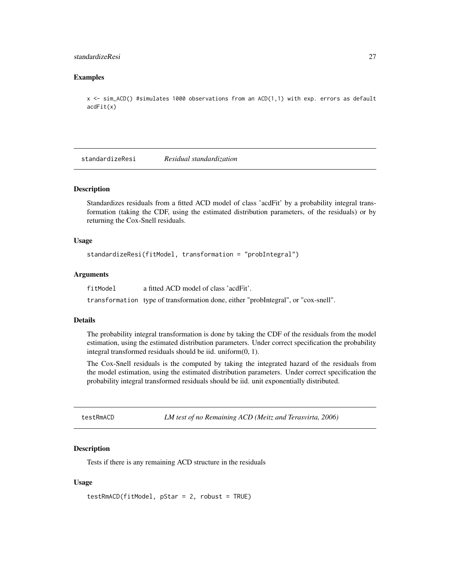# <span id="page-26-0"></span>standardizeResi 27

### Examples

```
x \leq -\sin\left(\frac{1}{2}\right) #simulates 1000 observations from an ACD(1,1) with exp. errors as default
acdfit(x)
```
standardizeResi *Residual standardization*

#### Description

Standardizes residuals from a fitted ACD model of class 'acdFit' by a probability integral transformation (taking the CDF, using the estimated distribution parameters, of the residuals) or by returning the Cox-Snell residuals.

#### Usage

```
standardizeResi(fitModel, transformation = "probIntegral")
```
# Arguments

fitModel a fitted ACD model of class 'acdFit'.

transformation type of transformation done, either "probIntegral", or "cox-snell".

#### Details

The probability integral transformation is done by taking the CDF of the residuals from the model estimation, using the estimated distribution parameters. Under correct specification the probability integral transformed residuals should be iid. uniform(0, 1).

The Cox-Snell residuals is the computed by taking the integrated hazard of the residuals from the model estimation, using the estimated distribution parameters. Under correct specification the probability integral transformed residuals should be iid. unit exponentially distributed.

<span id="page-26-1"></span>testRmACD *LM test of no Remaining ACD (Meitz and Terasvirta, 2006)*

# Description

Tests if there is any remaining ACD structure in the residuals

```
testRmACD(fitModel, pStar = 2, robust = TRUE)
```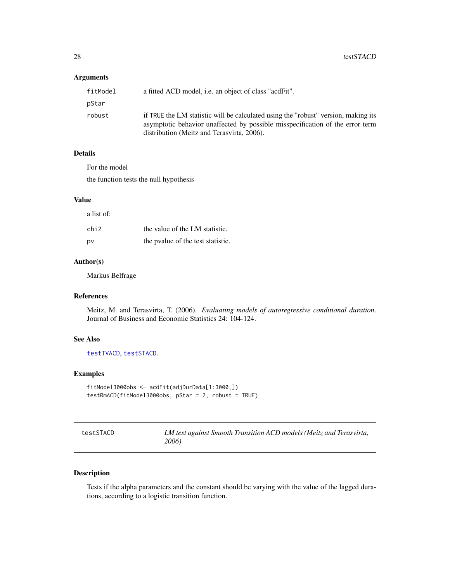# <span id="page-27-0"></span>Arguments

| fitModel | a fitted ACD model, <i>i.e.</i> an object of class "acdFit".                                                                                                                                                      |
|----------|-------------------------------------------------------------------------------------------------------------------------------------------------------------------------------------------------------------------|
| pStar    |                                                                                                                                                                                                                   |
| robust   | if TRUE the LM statistic will be calculated using the "robust" version, making its<br>asymptotic behavior unaffected by possible misspecification of the error term<br>distribution (Meitz and Terasvirta, 2006). |

# Details

For the model

the function tests the null hypothesis

# Value

a list of:

| chi2 | the value of the LM statistic.    |
|------|-----------------------------------|
| p٧   | the pyalue of the test statistic. |

### Author(s)

Markus Belfrage

# References

Meitz, M. and Terasvirta, T. (2006). *Evaluating models of autoregressive conditional duration*. Journal of Business and Economic Statistics 24: 104-124.

# See Also

[testTVACD](#page-28-1), [testSTACD](#page-27-1).

# Examples

```
fitModel3000obs <- acdFit(adjDurData[1:3000,])
testRmACD(fitModel3000obs, pStar = 2, robust = TRUE)
```
<span id="page-27-1"></span>

| testSTACD | LM test against Smooth Transition ACD models (Meitz and Terasvirta, |
|-----------|---------------------------------------------------------------------|
|           | 2006)                                                               |

# Description

Tests if the alpha parameters and the constant should be varying with the value of the lagged durations, according to a logistic transition function.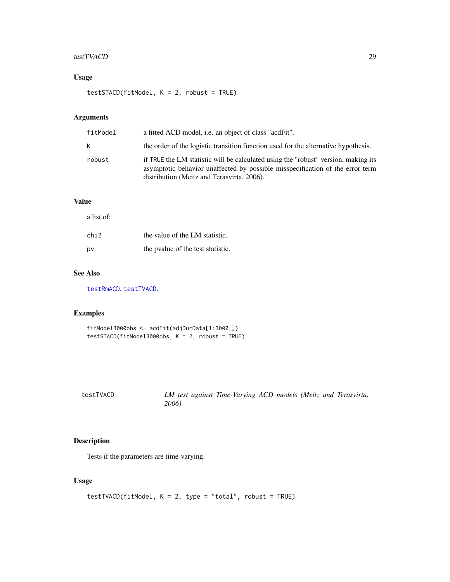#### <span id="page-28-0"></span>testTVACD 29

# Usage

testSTACD(fitModel, K = 2, robust = TRUE)

# Arguments

| fitModel | a fitted ACD model, <i>i.e.</i> an object of class "acdFit".                                                                                                                                                      |
|----------|-------------------------------------------------------------------------------------------------------------------------------------------------------------------------------------------------------------------|
| K.       | the order of the logistic transition function used for the alternative hypothesis.                                                                                                                                |
| robust   | if TRUE the LM statistic will be calculated using the "robust" version, making its<br>asymptotic behavior unaffected by possible misspecification of the error term<br>distribution (Meitz and Terasvirta, 2006). |

# Value

a list of:

| chi2 | the value of the LM statistic.    |
|------|-----------------------------------|
| p٧   | the pyalue of the test statistic. |

# See Also

[testRmACD](#page-26-1), [testTVACD](#page-28-1).

# Examples

fitModel3000obs <- acdFit(adjDurData[1:3000,]) testSTACD(fitModel3000obs, K = 2, robust = TRUE)

<span id="page-28-1"></span>

| testTVACD | LM test against Time-Varying ACD models (Meitz and Terasvirta, |  |  |
|-----------|----------------------------------------------------------------|--|--|
|           | 2006)                                                          |  |  |

# Description

Tests if the parameters are time-varying.

```
testTVACD(fitModel, K = 2, type = "total", robust = TRUE)
```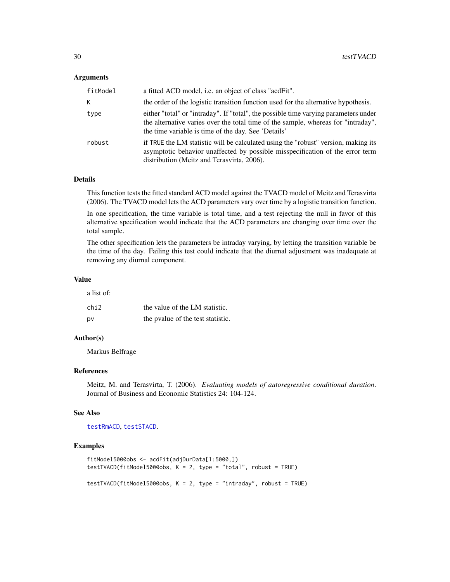#### <span id="page-29-0"></span>Arguments

| fitModel | a fitted ACD model, i.e. an object of class "acdFit".                                                                                                                                                                            |
|----------|----------------------------------------------------------------------------------------------------------------------------------------------------------------------------------------------------------------------------------|
| K.       | the order of the logistic transition function used for the alternative hypothesis.                                                                                                                                               |
| type     | either "total" or "intraday". If "total", the possible time varying parameters under<br>the alternative varies over the total time of the sample, whereas for "intraday",<br>the time variable is time of the day. See 'Details' |
| robust   | if TRUE the LM statistic will be calculated using the "robust" version, making its<br>asymptotic behavior unaffected by possible misspecification of the error term<br>distribution (Meitz and Terasvirta, 2006).                |

# Details

This function tests the fitted standard ACD model against the TVACD model of Meitz and Terasvirta (2006). The TVACD model lets the ACD parameters vary over time by a logistic transition function.

In one specification, the time variable is total time, and a test rejecting the null in favor of this alternative specification would indicate that the ACD parameters are changing over time over the total sample.

The other specification lets the parameters be intraday varying, by letting the transition variable be the time of the day. Failing this test could indicate that the diurnal adjustment was inadequate at removing any diurnal component.

#### Value

a list of:

| chi2 | the value of the LM statistic.    |
|------|-----------------------------------|
| p٧   | the pyalue of the test statistic. |

# Author(s)

Markus Belfrage

# References

Meitz, M. and Terasvirta, T. (2006). *Evaluating models of autoregressive conditional duration*. Journal of Business and Economic Statistics 24: 104-124.

#### See Also

[testRmACD](#page-26-1), [testSTACD](#page-27-1).

#### Examples

```
fitModel5000obs <- acdFit(adjDurData[1:5000,])
testTVACD(fitModel5000obs, K = 2, type = "total", robust = TRUE)
testTVACD(fitModel5000obs, K = 2, type = "intraday", robust = TRUE)
```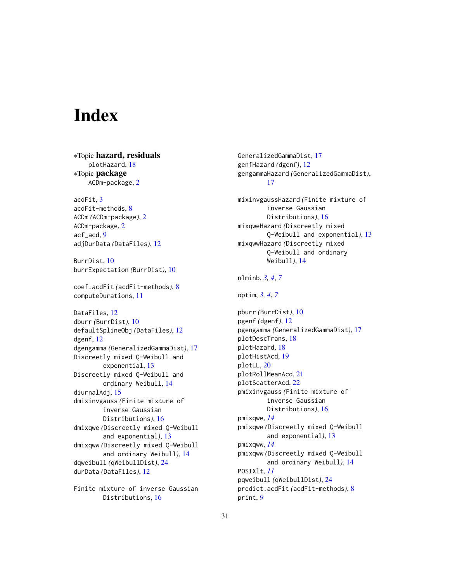# <span id="page-30-0"></span>**Index**

∗Topic hazard, residuals plotHazard, [18](#page-17-0) ∗Topic package ACDm-package, [2](#page-1-0) acdFit, [3](#page-2-0) acdFit-methods, [8](#page-7-0) ACDm *(*ACDm-package*)*, [2](#page-1-0) ACDm-package, [2](#page-1-0)

acf\_acd, [9](#page-8-0) adjDurData *(*DataFiles*)*, [12](#page-11-0)

BurrDist, [10](#page-9-0) burrExpectation *(*BurrDist*)*, [10](#page-9-0)

coef.acdFit *(*acdFit-methods*)*, [8](#page-7-0) computeDurations, [11](#page-10-0)

DataFiles, [12](#page-11-0) dburr *(*BurrDist*)*, [10](#page-9-0) defaultSplineObj *(*DataFiles*)*, [12](#page-11-0) dgenf, [12](#page-11-0) dgengamma *(*GeneralizedGammaDist*)*, [17](#page-16-0) Discreetly mixed Q-Weibull and exponential, [13](#page-12-0) Discreetly mixed Q-Weibull and ordinary Weibull, [14](#page-13-0) diurnalAdj, [15](#page-14-0) dmixinvgauss *(*Finite mixture of inverse Gaussian Distributions*)*, [16](#page-15-0) dmixqwe *(*Discreetly mixed Q-Weibull and exponential*)*, [13](#page-12-0) dmixqww *(*Discreetly mixed Q-Weibull and ordinary Weibull*)*, [14](#page-13-0) dqweibull *(*qWeibullDist*)*, [24](#page-23-0) durData *(*DataFiles*)*, [12](#page-11-0)

Finite mixture of inverse Gaussian Distributions, [16](#page-15-0)

GeneralizedGammaDist, [17](#page-16-0) genfHazard *(*dgenf*)*, [12](#page-11-0) gengammaHazard *(*GeneralizedGammaDist*)*, [17](#page-16-0)

mixinvgaussHazard *(*Finite mixture of inverse Gaussian Distributions*)*, [16](#page-15-0) mixqweHazard *(*Discreetly mixed Q-Weibull and exponential*)*, [13](#page-12-0) mixqwwHazard *(*Discreetly mixed Q-Weibull and ordinary Weibull*)*, [14](#page-13-0)

nlminb, *[3,](#page-2-0) [4](#page-3-0)*, *[7](#page-6-0)*

optim, *[3,](#page-2-0) [4](#page-3-0)*, *[7](#page-6-0)*

pburr *(*BurrDist*)*, [10](#page-9-0) pgenf *(*dgenf*)*, [12](#page-11-0) pgengamma *(*GeneralizedGammaDist*)*, [17](#page-16-0) plotDescTrans, [18](#page-17-0) plotHazard, [18](#page-17-0) plotHistAcd, [19](#page-18-0) plotLL, [20](#page-19-0) plotRollMeanAcd, [21](#page-20-0) plotScatterAcd, [22](#page-21-0) pmixinvgauss *(*Finite mixture of inverse Gaussian Distributions*)*, [16](#page-15-0) pmixqwe, *[14](#page-13-0)* pmixqwe *(*Discreetly mixed Q-Weibull and exponential*)*, [13](#page-12-0) pmixqww, *[14](#page-13-0)* pmixqww *(*Discreetly mixed Q-Weibull and ordinary Weibull*)*, [14](#page-13-0) POSIXlt, *[11](#page-10-0)* pqweibull *(*qWeibullDist*)*, [24](#page-23-0) predict.acdFit *(*acdFit-methods*)*, [8](#page-7-0) print, *[9](#page-8-0)*